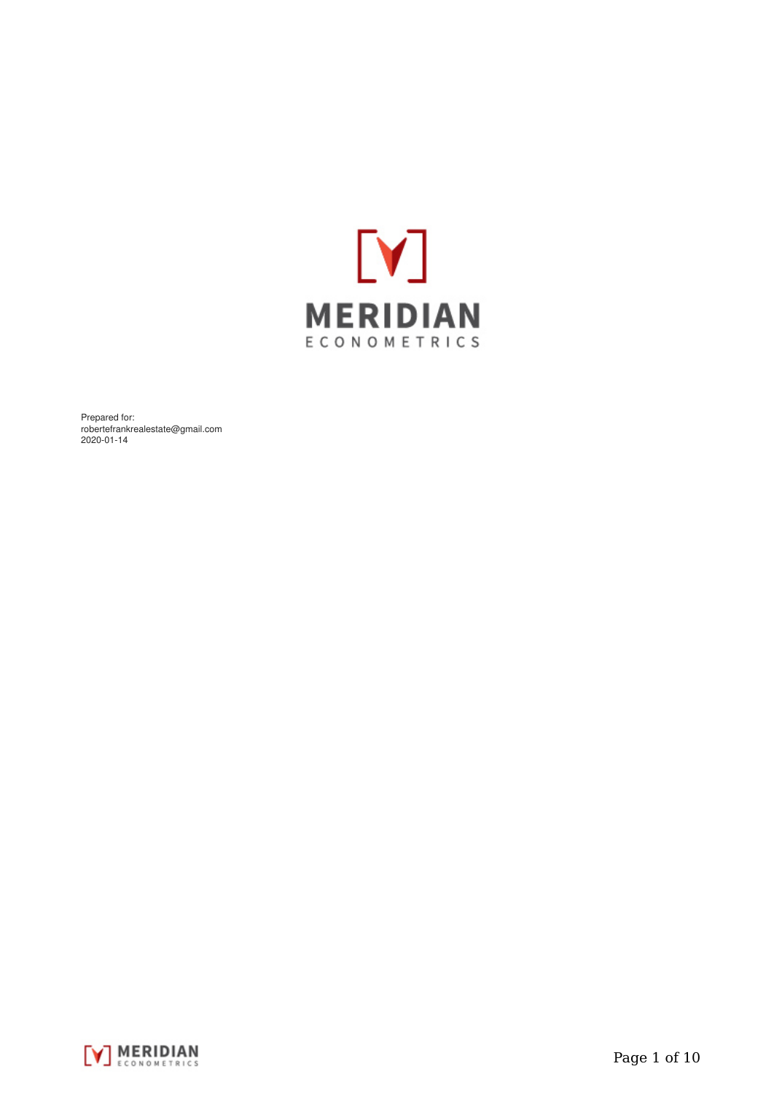

Prepared for: robertefrankrealestate@gmail.com 2020-01-14

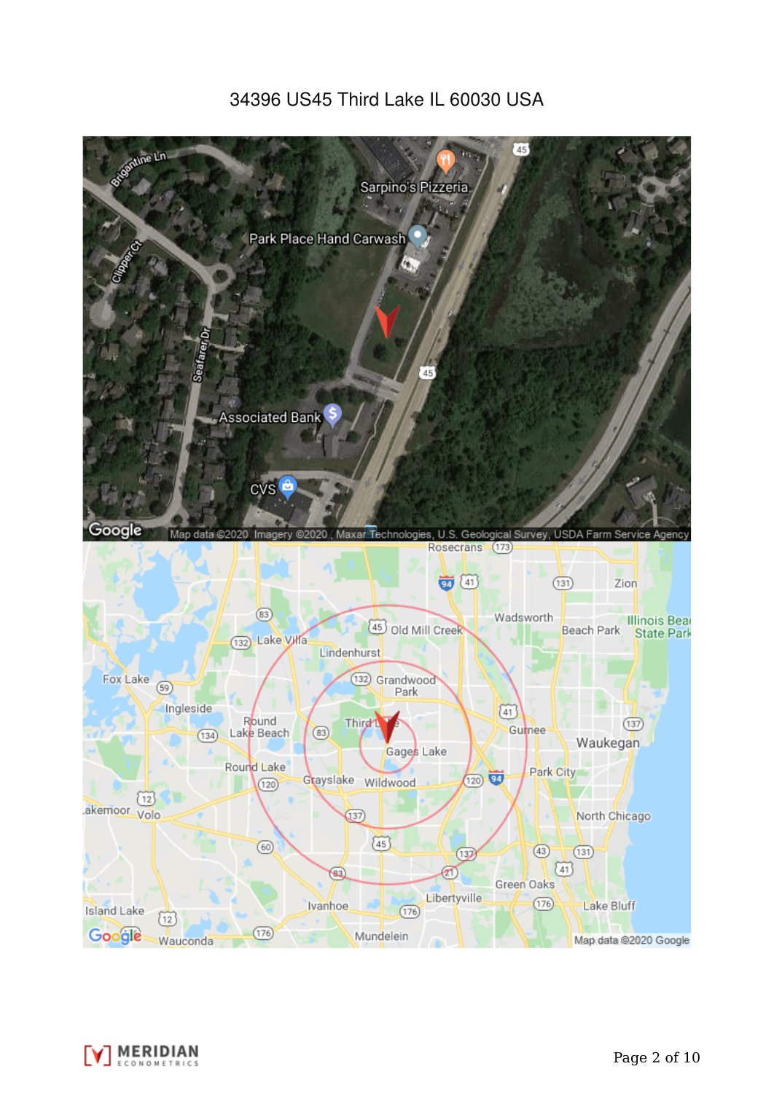# 34396 US45 Third Lake IL 60030 USA



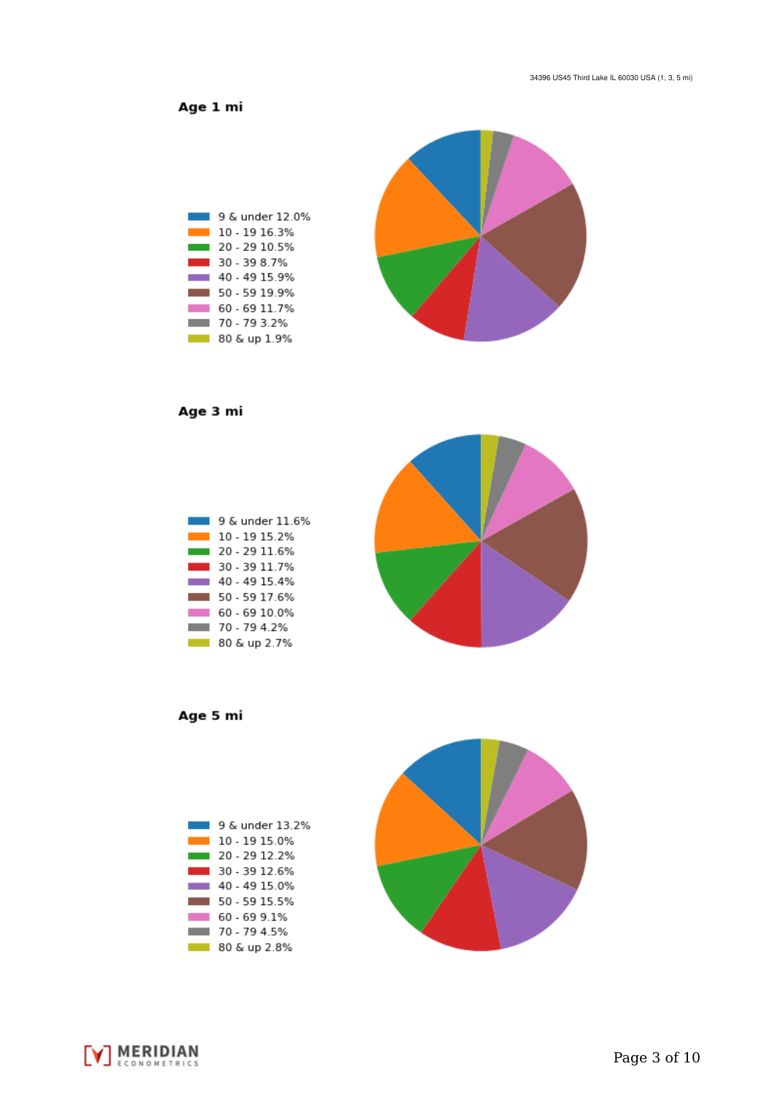Age 1 mi



Age 3 mi



Age 5 mi





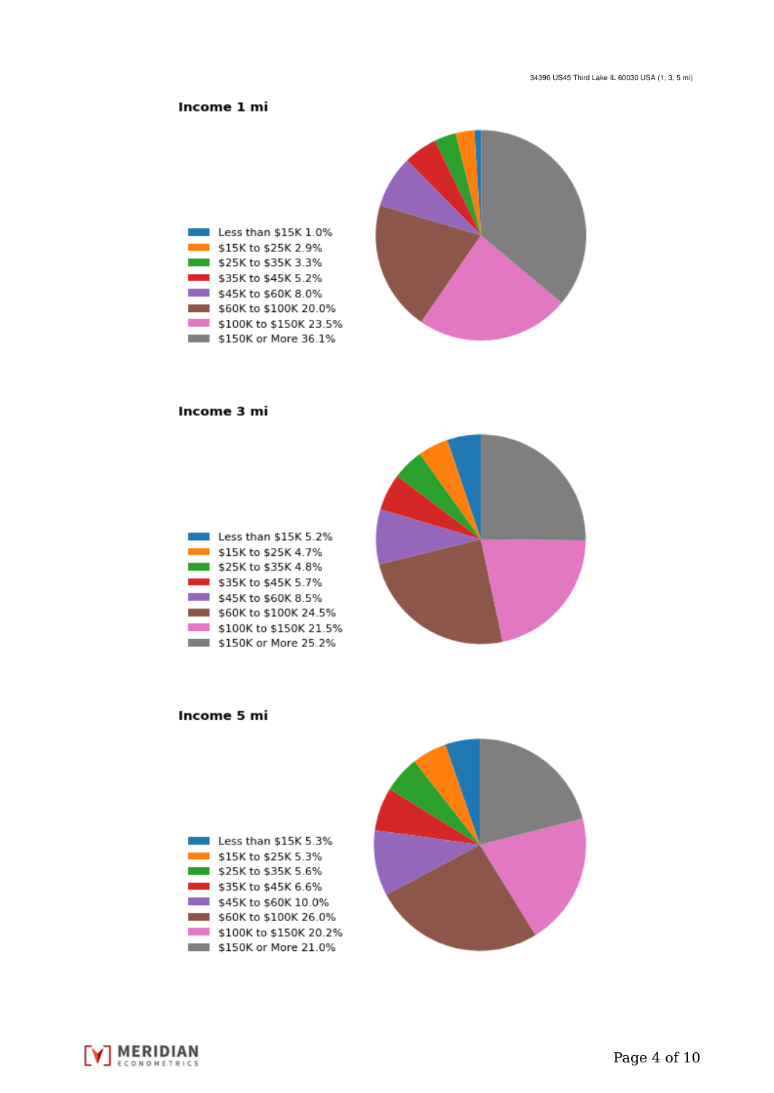# Income 1 mi



### Income 3 mi

| Less than \$15K 5.2%   |
|------------------------|
| \$15K to \$25K 4.7%    |
| \$25K to \$35K 4.8%    |
| \$35K to \$45K 5.7%    |
| \$45K to \$60K 8.5%    |
| \$60K to \$100K 24.5%  |
| \$100K to \$150K 21.5% |
| \$150K or More 25.2%   |



## Income 5 mi

| Less than \$15K 5.3%   |  |
|------------------------|--|
| \$15K to \$25K 5.3%    |  |
| \$25K to \$35K 5.6%    |  |
| \$35K to \$45K 6.6%    |  |
| \$45K to \$60K 10.0%   |  |
| \$60K to \$100K 26.0%  |  |
| \$100K to \$150K 20.2% |  |
| \$150K or More 21.0%   |  |

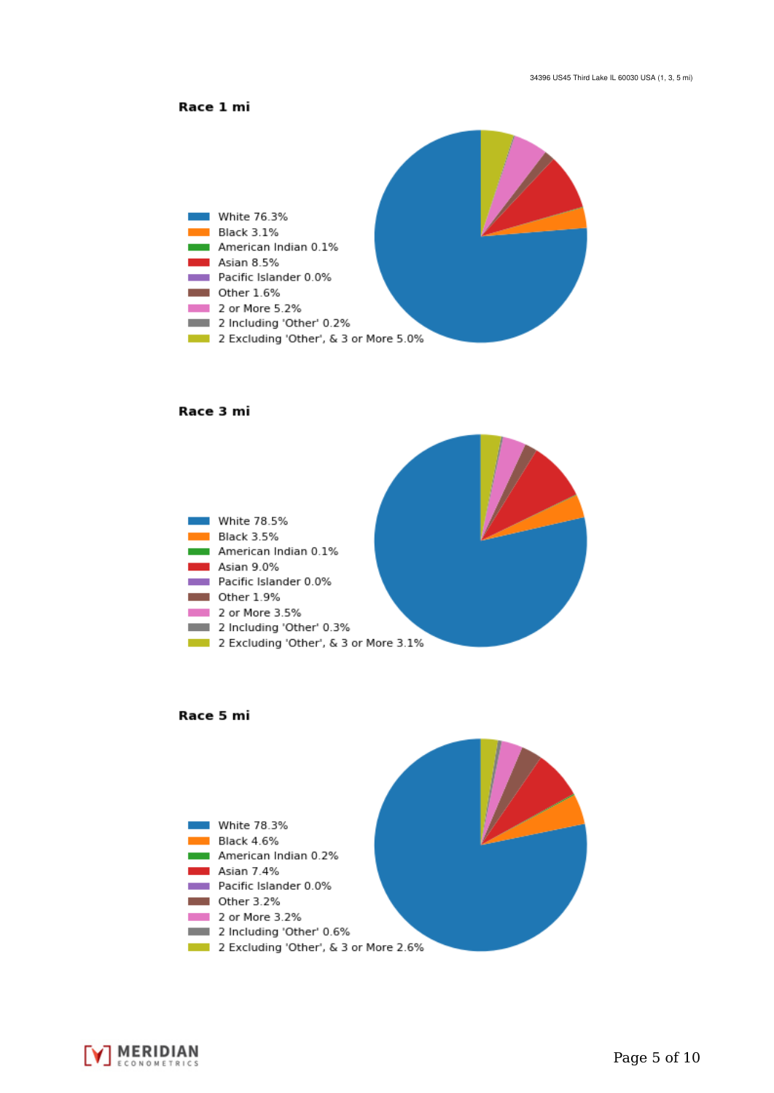



#### Race 3 mi







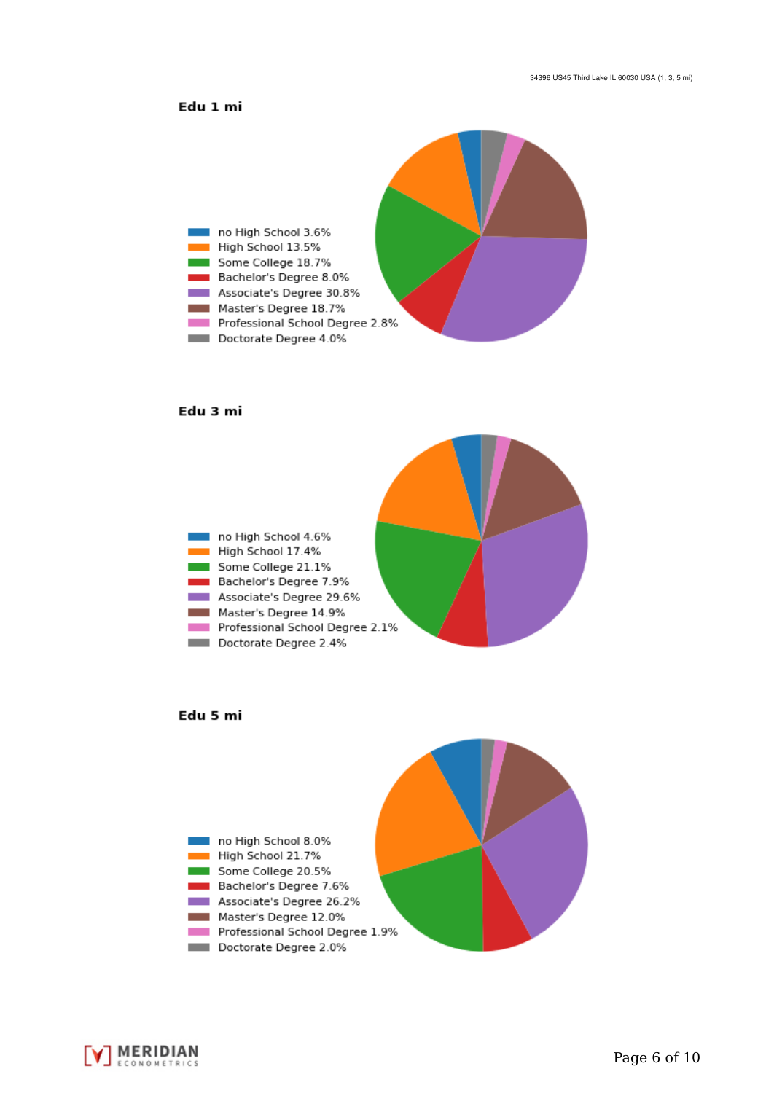# Edu 1 mi



#### Edu 3 mi







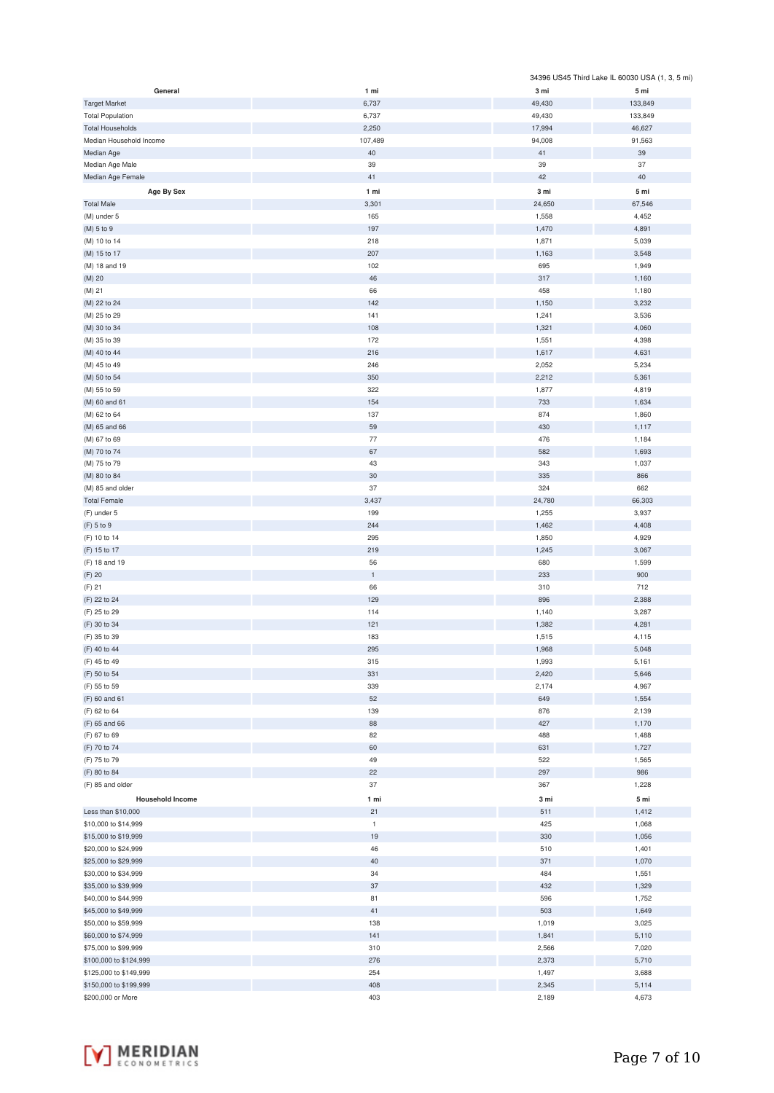|                         |              |        | 34396 US45 Third Lake IL 60030 USA (1, 3, 5 mi) |
|-------------------------|--------------|--------|-------------------------------------------------|
| General                 | 1 mi         | 3 mi   | 5 mi                                            |
| <b>Target Market</b>    | 6,737        | 49,430 | 133,849                                         |
| <b>Total Population</b> | 6,737        | 49,430 | 133,849                                         |
| <b>Total Households</b> | 2,250        | 17,994 | 46,627                                          |
| Median Household Income | 107,489      | 94,008 | 91,563                                          |
| Median Age              | $40\,$       | 41     | $39\,$                                          |
| Median Age Male         | 39           | 39     | 37                                              |
| Median Age Female       | 41           | 42     | 40                                              |
| Age By Sex              | 1 mi         | 3 mi   | 5 mi                                            |
|                         |              |        |                                                 |
| <b>Total Male</b>       | 3,301        | 24,650 | 67,546                                          |
| (M) under 5             | 165          | 1,558  | 4,452                                           |
| (M) 5 to 9              | 197          | 1,470  | 4,891                                           |
| (M) 10 to 14            | 218          | 1,871  | 5,039                                           |
| (M) 15 to 17            | 207          | 1,163  | 3,548                                           |
| (M) 18 and 19           | 102          | 695    | 1,949                                           |
| (M) 20                  | 46           | 317    | 1,160                                           |
| (M) 21                  | 66           | 458    | 1,180                                           |
| (M) 22 to 24            | 142          | 1,150  | 3,232                                           |
| (M) 25 to 29            | 141          | 1,241  | 3,536                                           |
| (M) 30 to 34            | 108          | 1,321  | 4,060                                           |
| (M) 35 to 39            | 172          | 1,551  | 4,398                                           |
| (M) 40 to 44            | 216          | 1,617  | 4,631                                           |
| (M) 45 to 49            | 246          | 2,052  | 5,234                                           |
| (M) 50 to 54            | 350          | 2,212  | 5,361                                           |
| (M) 55 to 59            | 322          | 1,877  | 4,819                                           |
| (M) 60 and 61           | 154          | 733    | 1,634                                           |
| (M) 62 to 64            | 137          | 874    | 1,860                                           |
| (M) 65 and 66           | 59           | 430    | 1,117                                           |
| (M) 67 to 69            | 77           | 476    | 1,184                                           |
| (M) 70 to 74            | 67           | 582    | 1,693                                           |
| (M) 75 to 79            | 43           | 343    | 1,037                                           |
| (M) 80 to 84            | 30           | 335    | 866                                             |
| (M) 85 and older        | 37           | 324    | 662                                             |
| <b>Total Female</b>     | 3,437        | 24,780 | 66,303                                          |
| (F) under 5             | 199          | 1,255  | 3,937                                           |
| (F) 5 to 9              | 244          | 1,462  | 4,408                                           |
| (F) 10 to 14            | 295          | 1,850  | 4,929                                           |
| (F) 15 to 17            | 219          | 1,245  | 3,067                                           |
| (F) 18 and 19           | 56           | 680    | 1,599                                           |
| $(F)$ 20                | $\mathbf 1$  | 233    | 900                                             |
|                         |              |        |                                                 |
| $(F)$ 21                | 66           | 310    | 712                                             |
| (F) 22 to 24            | 129          | 896    | 2,388                                           |
| (F) 25 to 29            | 114          | 1,140  | 3,287                                           |
| (F) 30 to 34            | 121          | 1,382  | 4,281                                           |
| (F) 35 to 39            | 183          | 1,515  | 4,115                                           |
| (F) 40 to 44            | 295          | 1,968  | 5,048                                           |
| (F) 45 to 49            | 315          | 1,993  | 5,161                                           |
| (F) 50 to 54            | 331          | 2,420  | 5,646                                           |
| (F) 55 to 59            | 339          | 2,174  | 4,967                                           |
| (F) 60 and 61           | 52           | 649    | 1,554                                           |
| (F) 62 to 64            | 139          | 876    | 2,139                                           |
| (F) 65 and 66           | 88           | 427    | 1,170                                           |
| (F) 67 to 69            | 82           | 488    | 1,488                                           |
| (F) 70 to 74            | 60           | 631    | 1,727                                           |
| (F) 75 to 79            | 49           | 522    | 1,565                                           |
| (F) 80 to 84            | 22           | 297    | 986                                             |
| (F) 85 and older        | 37           | 367    | 1,228                                           |
| <b>Household Income</b> | 1 mi         | 3 mi   | 5 mi                                            |
| Less than \$10,000      | 21           | 511    | 1,412                                           |
| \$10,000 to \$14,999    | $\mathbf{1}$ | 425    | 1,068                                           |
| \$15,000 to \$19,999    | 19           | 330    | 1,056                                           |
| \$20,000 to \$24,999    | 46           | 510    | 1,401                                           |
| \$25,000 to \$29,999    | 40           | 371    | 1,070                                           |
| \$30,000 to \$34,999    | 34           | 484    | 1,551                                           |
| \$35,000 to \$39,999    | 37           | 432    | 1,329                                           |
| \$40,000 to \$44,999    | 81           | 596    | 1,752                                           |
| \$45,000 to \$49,999    | 41           | 503    | 1,649                                           |
| \$50,000 to \$59,999    | 138          | 1,019  | 3,025                                           |
| \$60,000 to \$74,999    | 141          | 1,841  | 5,110                                           |
| \$75,000 to \$99,999    | 310          | 2,566  | 7,020                                           |
| \$100,000 to \$124,999  | 276          | 2,373  | 5,710                                           |
| \$125,000 to \$149,999  | 254          | 1,497  | 3,688                                           |
| \$150,000 to \$199,999  | 408          | 2,345  | 5,114                                           |
| \$200,000 or More       | 403          | 2,189  | 4,673                                           |
|                         |              |        |                                                 |

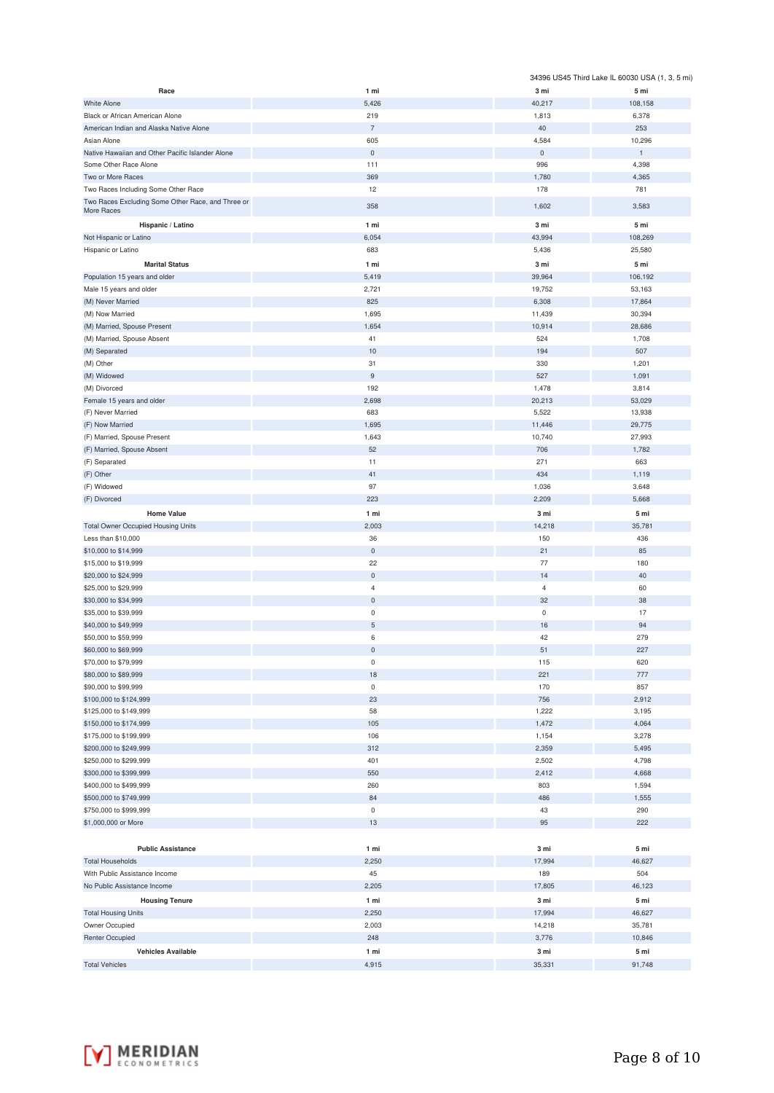|                                                                           |                     |                            | 34396 US45 Third Lake IL 60030 USA (1, 3, 5 mi) |
|---------------------------------------------------------------------------|---------------------|----------------------------|-------------------------------------------------|
| Race                                                                      | 1 mi                | 3 mi                       | 5 mi                                            |
| <b>White Alone</b>                                                        | 5,426               | 40,217                     | 108,158                                         |
| Black or African American Alone                                           | 219                 | 1,813                      | 6,378                                           |
| American Indian and Alaska Native Alone                                   | $\overline{7}$      | 40                         | 253                                             |
| Asian Alone                                                               | 605                 | 4,584                      | 10,296                                          |
| Native Hawaiian and Other Pacific Islander Alone<br>Some Other Race Alone | $\mathbf 0$<br>111  | $\mathsf{O}\xspace$<br>996 | $\mathbf{1}$<br>4,398                           |
| Two or More Races                                                         | 369                 | 1,780                      | 4,365                                           |
| Two Races Including Some Other Race                                       | 12                  | 178                        | 781                                             |
| Two Races Excluding Some Other Race, and Three or                         |                     |                            |                                                 |
| More Races                                                                | 358                 | 1,602                      | 3,583                                           |
| Hispanic / Latino                                                         | 1 mi                | 3 mi                       | 5 mi                                            |
| Not Hispanic or Latino                                                    | 6,054               | 43,994                     | 108,269                                         |
| Hispanic or Latino                                                        | 683                 | 5,436                      | 25,580                                          |
| <b>Marital Status</b>                                                     | 1 mi                | 3 mi                       | 5 mi                                            |
| Population 15 years and older                                             | 5,419               | 39,964                     | 106,192                                         |
| Male 15 years and older                                                   | 2,721               | 19,752                     | 53,163                                          |
| (M) Never Married                                                         | 825                 | 6,308                      | 17,864                                          |
| (M) Now Married                                                           | 1,695               | 11,439                     | 30,394                                          |
| (M) Married, Spouse Present                                               | 1,654               | 10,914                     | 28,686                                          |
| (M) Married, Spouse Absent                                                | 41                  | 524                        | 1,708                                           |
| (M) Separated                                                             | 10<br>31            | 194<br>330                 | 507<br>1,201                                    |
| (M) Other<br>(M) Widowed                                                  | $\mathsf g$         | 527                        | 1,091                                           |
| (M) Divorced                                                              | 192                 | 1,478                      | 3,814                                           |
| Female 15 years and older                                                 | 2,698               | 20,213                     | 53,029                                          |
| (F) Never Married                                                         | 683                 | 5,522                      | 13,938                                          |
| (F) Now Married                                                           | 1,695               | 11,446                     | 29,775                                          |
| (F) Married, Spouse Present                                               | 1,643               | 10,740                     | 27,993                                          |
| (F) Married, Spouse Absent                                                | 52                  | 706                        | 1,782                                           |
| (F) Separated                                                             | 11                  | 271                        | 663                                             |
| (F) Other                                                                 | 41                  | 434                        | 1,119                                           |
| (F) Widowed                                                               | 97                  | 1,036                      | 3,648                                           |
| (F) Divorced                                                              | 223                 | 2,209                      | 5,668                                           |
| <b>Home Value</b>                                                         | 1 mi                | 3 mi                       | 5 mi                                            |
| <b>Total Owner Occupied Housing Units</b>                                 | 2,003               | 14,218                     | 35,781                                          |
| Less than \$10,000                                                        | 36                  | 150                        | 436                                             |
| \$10,000 to \$14,999                                                      | $\mathsf{O}\xspace$ | 21                         | 85                                              |
| \$15,000 to \$19,999                                                      | 22                  | 77                         | 180                                             |
| \$20,000 to \$24,999                                                      | $\mathsf{O}\xspace$ | 14                         | 40                                              |
| \$25,000 to \$29,999                                                      | $\overline{4}$      | $\overline{4}$             | 60                                              |
| \$30,000 to \$34,999                                                      | $\mathsf{O}\xspace$ | 32                         | 38                                              |
| \$35,000 to \$39,999                                                      | $\pmb{0}$           | $\mathsf 0$                | 17                                              |
| \$40,000 to \$49,999                                                      | $\mathbf 5$         | 16                         | 94                                              |
| \$50,000 to \$59,999                                                      | 6                   | 42                         | 279                                             |
| \$60,000 to \$69,999                                                      | $\mathbf 0$         | 51                         | 227                                             |
| \$70,000 to \$79,999                                                      | $\mathsf 0$         | 115                        | 620                                             |
| \$80,000 to \$89,999                                                      | 18<br>$\mathsf 0$   | 221                        | 777                                             |
| \$90,000 to \$99,999<br>\$100,000 to \$124,999                            | 23                  | 170<br>756                 | 857<br>2,912                                    |
| \$125,000 to \$149,999                                                    | 58                  | 1,222                      | 3,195                                           |
| \$150,000 to \$174,999                                                    | 105                 | 1,472                      | 4,064                                           |
| \$175,000 to \$199,999                                                    | 106                 | 1,154                      | 3,278                                           |
| \$200,000 to \$249,999                                                    | 312                 | 2,359                      | 5,495                                           |
| \$250,000 to \$299,999                                                    | 401                 | 2,502                      | 4,798                                           |
| \$300,000 to \$399,999                                                    | 550                 | 2,412                      | 4,668                                           |
| \$400,000 to \$499,999                                                    | 260                 | 803                        | 1,594                                           |
| \$500,000 to \$749,999                                                    | 84                  | 486                        | 1,555                                           |
| \$750,000 to \$999,999                                                    | $\mathsf 0$         | 43                         | 290                                             |
| \$1,000,000 or More                                                       | 13                  | 95                         | 222                                             |
|                                                                           |                     |                            |                                                 |
| <b>Public Assistance</b>                                                  | 1 mi                | 3 mi                       | 5 mi                                            |
| <b>Total Households</b>                                                   | 2,250               | 17,994                     | 46,627                                          |
| With Public Assistance Income                                             | 45                  | 189                        | 504                                             |
| No Public Assistance Income                                               | 2,205               | 17,805                     | 46,123                                          |
| <b>Housing Tenure</b>                                                     | 1 mi                | 3 mi                       | 5 mi                                            |
| <b>Total Housing Units</b>                                                | 2,250               | 17,994                     | 46,627                                          |
| Owner Occupied                                                            | 2,003               | 14,218                     | 35,781                                          |
| <b>Renter Occupied</b>                                                    | 248                 | 3,776                      | 10,846                                          |
| <b>Vehicles Available</b>                                                 | 1 mi                | 3 mi                       | 5 mi                                            |
| <b>Total Vehicles</b>                                                     | 4,915               | 35,331                     | 91,748                                          |

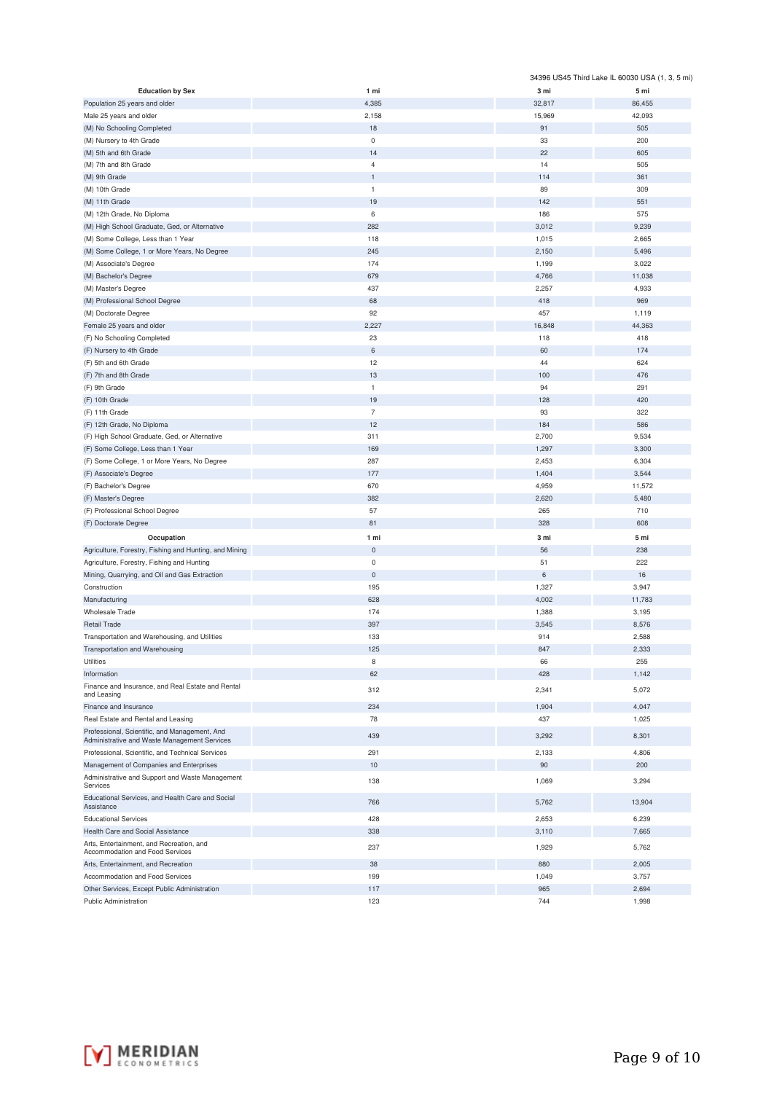|                                                                  |                |        | 34396 US45 Third Lake IL 60030 USA (1, 3, 5 mi) |
|------------------------------------------------------------------|----------------|--------|-------------------------------------------------|
| <b>Education by Sex</b>                                          | 1 mi           | 3 mi   | 5 mi                                            |
| Population 25 years and older                                    | 4,385          | 32,817 | 86,455                                          |
| Male 25 years and older                                          | 2,158          | 15,969 | 42,093                                          |
| (M) No Schooling Completed                                       | 18             | 91     | 505                                             |
| (M) Nursery to 4th Grade                                         | $\bf 0$        | 33     | 200                                             |
| (M) 5th and 6th Grade                                            | 14             | 22     | 605                                             |
| (M) 7th and 8th Grade                                            | $\overline{4}$ | 14     | 505                                             |
| (M) 9th Grade                                                    | $\mathbf{1}$   | 114    | 361                                             |
| (M) 10th Grade                                                   | $\mathbf{1}$   | 89     | 309                                             |
| (M) 11th Grade                                                   | 19             | 142    | 551                                             |
| (M) 12th Grade, No Diploma                                       | 6              | 186    | 575                                             |
|                                                                  | 282            |        |                                                 |
| (M) High School Graduate, Ged, or Alternative                    |                | 3,012  | 9,239                                           |
| (M) Some College, Less than 1 Year                               | 118            | 1,015  | 2,665                                           |
| (M) Some College, 1 or More Years, No Degree                     | 245            | 2,150  | 5,496                                           |
| (M) Associate's Degree                                           | 174            | 1,199  | 3,022                                           |
| (M) Bachelor's Degree                                            | 679            | 4,766  | 11,038                                          |
| (M) Master's Degree                                              | 437            | 2,257  | 4,933                                           |
| (M) Professional School Degree                                   | 68             | 418    | 969                                             |
| (M) Doctorate Degree                                             | 92             | 457    | 1,119                                           |
| Female 25 years and older                                        | 2,227          | 16,848 | 44,363                                          |
| (F) No Schooling Completed                                       | 23             | 118    | 418                                             |
| (F) Nursery to 4th Grade                                         | 6              | 60     | 174                                             |
| (F) 5th and 6th Grade                                            | 12             | 44     | 624                                             |
| (F) 7th and 8th Grade                                            | 13             | 100    | 476                                             |
| (F) 9th Grade                                                    | $\mathbf{1}$   | 94     | 291                                             |
| (F) 10th Grade                                                   | 19             | 128    | 420                                             |
| (F) 11th Grade                                                   | $\overline{7}$ | 93     | 322                                             |
| (F) 12th Grade, No Diploma                                       | 12             | 184    | 586                                             |
| (F) High School Graduate, Ged, or Alternative                    | 311            | 2,700  | 9,534                                           |
| (F) Some College, Less than 1 Year                               | 169            | 1,297  | 3,300                                           |
| (F) Some College, 1 or More Years, No Degree                     | 287            | 2,453  | 6,304                                           |
|                                                                  |                |        |                                                 |
| (F) Associate's Degree                                           | 177            | 1,404  | 3,544                                           |
| (F) Bachelor's Degree                                            | 670            | 4,959  | 11,572                                          |
| (F) Master's Degree                                              | 382            | 2,620  | 5,480                                           |
| (F) Professional School Degree                                   | 57             | 265    | 710                                             |
| (F) Doctorate Degree                                             | 81             | 328    | 608                                             |
| Occupation                                                       | 1 mi           | 3 mi   | 5 mi                                            |
| Agriculture, Forestry, Fishing and Hunting, and Mining           | $\pmb{0}$      | 56     | 238                                             |
| Agriculture, Forestry, Fishing and Hunting                       | $\mathbf 0$    | 51     | 222                                             |
| Mining, Quarrying, and Oil and Gas Extraction                    | $\mathbf 0$    | 6      | 16                                              |
| Construction                                                     | 195            | 1,327  | 3,947                                           |
| Manufacturing                                                    | 628            | 4,002  | 11,783                                          |
| <b>Wholesale Trade</b>                                           | 174            | 1,388  | 3,195                                           |
| <b>Retail Trade</b>                                              | 397            | 3,545  | 8,576                                           |
| Transportation and Warehousing, and Utilities                    | 133            | 914    | 2,588                                           |
| Transportation and Warehousing                                   | 125            | 847    | 2,333                                           |
| Utilities                                                        | 8              | 66     | 255                                             |
| Information                                                      | 62             | 428    | 1,142                                           |
|                                                                  |                |        |                                                 |
| Finance and Insurance, and Real Estate and Rental<br>and Leasing | 312            | 2,341  | 5,072                                           |
| Finance and Insurance                                            | 234            | 1,904  | 4,047                                           |
| Real Estate and Rental and Leasing                               | 78             | 437    | 1,025                                           |
| Professional, Scientific, and Management, And                    |                |        |                                                 |
| Administrative and Waste Management Services                     | 439            | 3,292  | 8,301                                           |
| Professional, Scientific, and Technical Services                 | 291            | 2,133  | 4,806                                           |
| Management of Companies and Enterprises                          | 10             | 90     | 200                                             |
| Administrative and Support and Waste Management                  |                |        |                                                 |
| Services<br>Educational Services, and Health Care and Social     | 138            | 1,069  | 3,294                                           |
| Assistance                                                       | 766            | 5,762  | 13,904                                          |
| <b>Educational Services</b>                                      | 428            | 2,653  | 6,239                                           |
| Health Care and Social Assistance                                | 338            | 3,110  | 7,665                                           |
| Arts, Entertainment, and Recreation, and                         |                |        |                                                 |
| Accommodation and Food Services                                  | 237            | 1,929  | 5,762                                           |
| Arts, Entertainment, and Recreation                              | 38             | 880    | 2,005                                           |
| Accommodation and Food Services                                  | 199            | 1,049  | 3,757                                           |
| Other Services, Except Public Administration                     | 117            | 965    | 2,694                                           |
| Public Administration                                            | 123            | 744    | 1,998                                           |